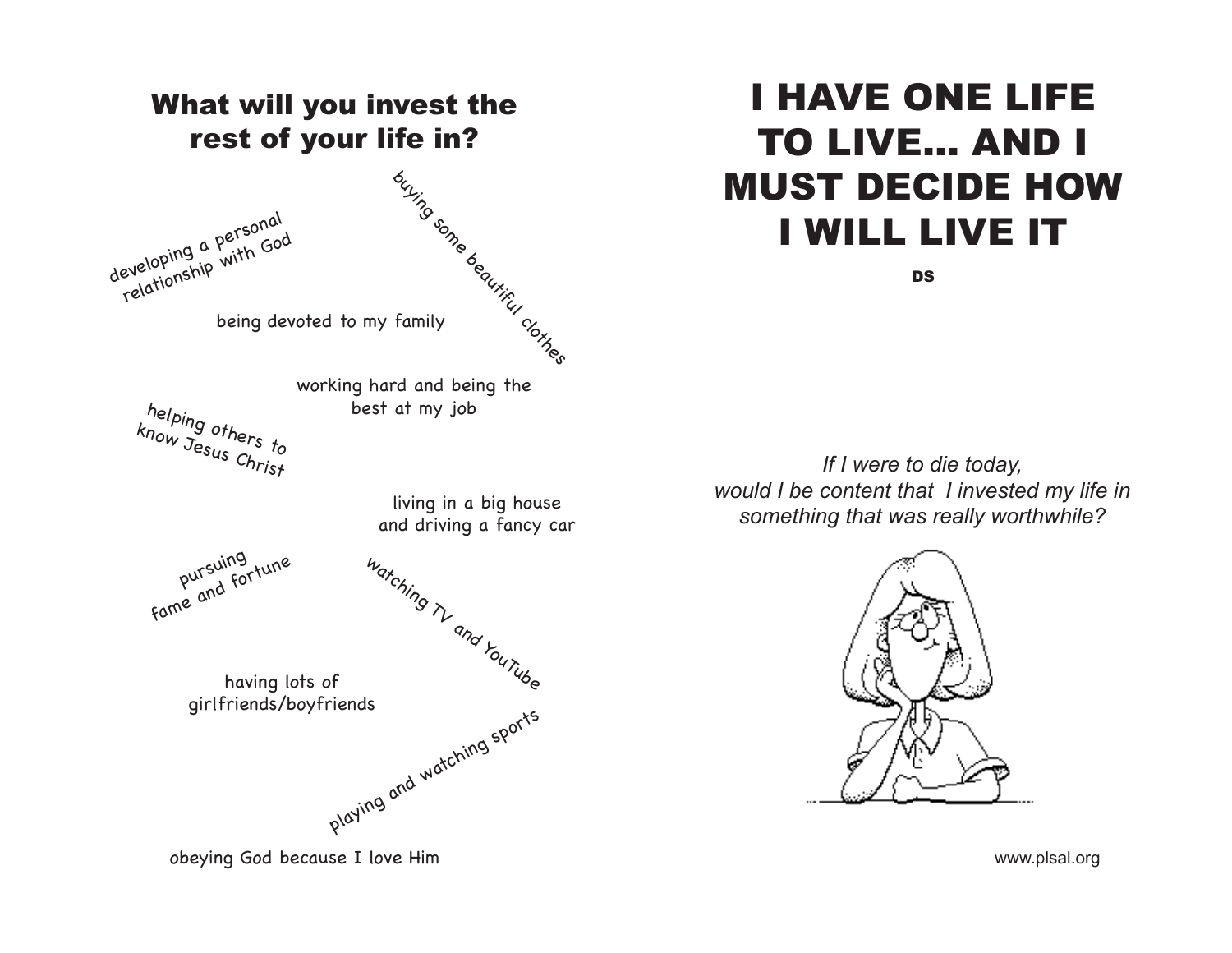

# I HAVE ONE LIFE TO LIVE... AND I MUST DECIDE HOW I WILL LIVE IT

**DS** 

*If I were to die today, would I be content that I invested my life in something that was really worthwhile?*



www.plsal.org